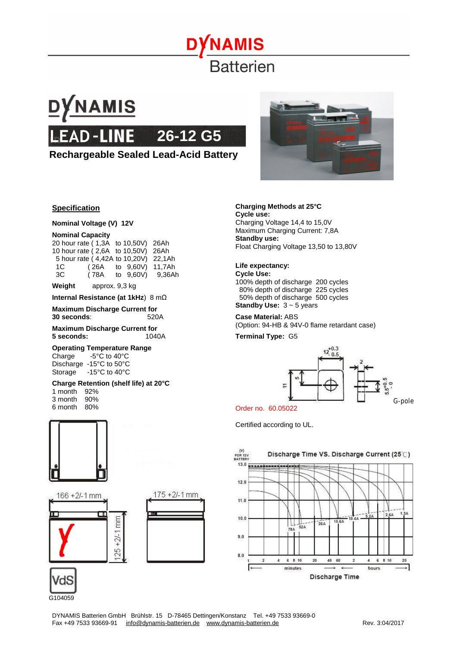

## **DYNAMIS LEAD-LINE 26-12 G5**

#### **Rechargeable Sealed Lead-Acid Battery**



#### **Specification**

**Nominal Voltage (V) 12V** 

#### **Nominal Capacity**

|    | 20 hour rate (1,3A to 10,50V) 26Ah   |                       |                  |
|----|--------------------------------------|-----------------------|------------------|
|    | 10 hour rate (2,6A to 10,50V) 26Ah   |                       |                  |
|    | 5 hour rate (4,42A to 10,20V) 22,1Ah |                       |                  |
| 1C |                                      | (26A to 9,60V) 11,7Ah |                  |
| 3C | (78A                                 |                       | to 9.60V) 9.36Ah |

**Weight** approx. 9,3 kg

**Internal Resistance (at 1kHz**) 8 mΩ

**Maximum Discharge Current for 30 seconds**: 520A

**Maximum Discharge Current for 5 seconds:** 1040A

#### **Operating Temperature Range**

Charge -5°C to 40°C Discharge -15°C to 50°C Storage -15°C to 40°C

#### **Charge Retention (shelf life) at 20°C**

1 month 92%<br>3 month 90% 3 month 6 month 80%









#### **Charging Methods at 25°C**

**Cycle use:**  Charging Voltage 14,4 to 15,0V Maximum Charging Current: 7,8A **Standby use:**  Float Charging Voltage 13,50 to 13,80V

#### **Life expectancy:**

**Cycle Use:**  100% depth of discharge 200 cycles 80% depth of discharge 225 cycles 50% depth of discharge 500 cycles **Standby Use:** 3 ~ 5 years

#### **Case Material:** ABS (Option: 94-HB & 94V-0 flame retardant case)

**Terminal Type:** G5



Order no. 60.05022

Certified according to UL.

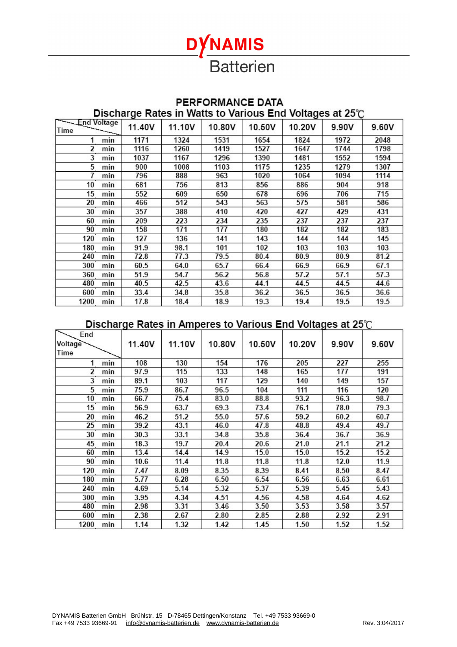# **DYNAMIS Batterien**

### PERFORMANCE DATA

Discharge Rates in Watts to Various End Voltages at 25°C

| - End Voltage<br>يبت<br>Time | 11.40V | 11.10V | 10.80V | 10.50V | 10.20V | 9.90V | 9.60V |
|------------------------------|--------|--------|--------|--------|--------|-------|-------|
| min                          | 1171   | 1324   | 1531   | 1654   | 1824   | 1972  | 2048  |
| 2<br>min                     | 1116   | 1260   | 1419   | 1527   | 1647   | 1744  | 1798  |
| 3<br>min                     | 1037   | 1167   | 1296   | 1390   | 1481   | 1552  | 1594  |
| 5<br>min                     | 900    | 1008   | 1103   | 1175   | 1235   | 1279  | 1307  |
| min                          | 796    | 888    | 963    | 1020   | 1064   | 1094  | 1114  |
| 10<br>min                    | 681    | 756    | 813    | 856    | 886    | 904   | 918   |
| 15<br>min                    | 552    | 609    | 650    | 678    | 696    | 706   | 715   |
| 20<br>min                    | 466    | 512    | 543    | 563    | 575    | 581   | 586   |
| 30<br>min                    | 357    | 388    | 410    | 420    | 427    | 429   | 431   |
| min<br>60                    | 209    | 223    | 234    | 235    | 237    | 237   | 237   |
| 90<br>min                    | 158    | 171    | 177    | 180    | 182    | 182   | 183   |
| 120<br>min                   | 127    | 136    | 141    | 143    | 144    | 144   | 145   |
| min<br>180                   | 91.9   | 98.1   | 101    | 102    | 103    | 103   | 103   |
| 240<br>min                   | 72.8   | 77.3   | 79.5   | 80.4   | 80.9   | 80.9  | 81.2  |
| 300<br>min                   | 60.5   | 64.0   | 65.7   | 66.4   | 66.9   | 66.9  | 67.1  |
| 360<br>min                   | 51.9   | 54.7   | 56.2   | 56.8   | 57.2   | 57.1  | 57.3  |
| 480<br>min                   | 40.5   | 42.5   | 43.6   | 44.1   | 44.5   | 44.5  | 44.6  |
| min<br>600                   | 33.4   | 34.8   | 35.8   | 36.2   | 36.5   | 36.5  | 36.6  |
| min<br>1200                  | 17.8   | 18.4   | 18.9   | 19.3   | 19.4   | 19.5  | 19.5  |

#### Discharge Rates in Amperes to Various End Voltages at 25°C

| End     |     |        |        |        |        |        |       |       |
|---------|-----|--------|--------|--------|--------|--------|-------|-------|
| Voltage |     | 11.40V | 11.10V | 10.80V | 10.50V | 10.20V | 9.90V | 9.60V |
| Time    |     |        |        |        |        |        |       |       |
| 1       | min | 108    | 130    | 154    | 176    | 205    | 227   | 255   |
| 2       | min | 97.9   | 115    | 133    | 148    | 165    | 177   | 191   |
| 3       | min | 89.1   | 103    | 117    | 129    | 140    | 149   | 157   |
| 5       | min | 75.9   | 86.7   | 96.5   | 104    | 111    | 116   | 120   |
| 10      | min | 66.7   | 75.4   | 83.0   | 88.8   | 93.2   | 96.3  | 98.7  |
| 15      | min | 56.9   | 63.7   | 69.3   | 73.4   | 76.1   | 78.0  | 79.3  |
| 20      | min | 46.2   | 51.2   | 55.0   | 57.6   | 59.2   | 60.2  | 60.7  |
| 25      | min | 39.2   | 43.1   | 46.0   | 47.8   | 48.8   | 49.4  | 49.7  |
| 30      | min | 30.3   | 33.1   | 34.8   | 35.8   | 36.4   | 36.7  | 36.9  |
| 45      | min | 18.3   | 19.7   | 20.4   | 20.6   | 21.0   | 21.1  | 21.2  |
| 60      | min | 13.4   | 14.4   | 14.9   | 15.0   | 15.0   | 15.2  | 15.2  |
| 90      | min | 10.6   | 11.4   | 11.8   | 11.8   | 11.8   | 12.0  | 11.9  |
| 120     | min | 7.47   | 8.09   | 8.35   | 8.39   | 8.41   | 8.50  | 8.47  |
| 180     | min | 5.77   | 6.28   | 6.50   | 6.54   | 6.56   | 6.63  | 6.61  |
| 240     | min | 4.69   | 5.14   | 5.32   | 5.37   | 5.39   | 5.45  | 5.43  |
| 300     | min | 3.95   | 4.34   | 4.51   | 4.56   | 4.58   | 4.64  | 4.62  |
| 480     | min | 2.98   | 3.31   | 3.46   | 3.50   | 3.53   | 3.58  | 3.57  |
| 600     | min | 2.38   | 2.67   | 2.80   | 2.85   | 2.88   | 2.92  | 2.91  |
| 1200    | min | 1.14   | 1.32   | 1.42   | 1.45   | 1.50   | 1.52  | 1.52  |